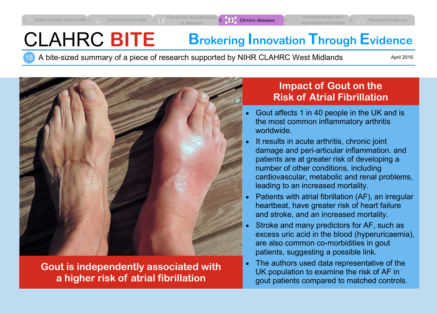# CLAHRC **BITE Brokering Innovation Through Evidence**

18 A bite-sized summary of a piece of research supported by NIHR CLAHRC West Midlands

April 2016



**Gout is independently associated with a higher risk of atrial fibrillation**

## **Impact of Gout on the Risk of Atrial Fibrillation**

- Gout affects 1 in 40 people in the UK and is the most common inflammatory arthritis worldwide.
- It results in acute arthritis, chronic joint damage and peri-articular inflammation. and patients are at greater risk of developing a number of other conditions, including cardiovascular, metabolic and renal problems, leading to an increased mortality.
- Patients with atrial fibrillation (AF), an irregular heartbeat, have greater risk of heart failure and stroke, and an increased mortality.
- Stroke and many predictors for AF, such as excess uric acid in the blood (hyperuricaemia), are also common co-morbidities in gout patients, suggesting a possible link.
- The authors used data representative of the UK population to examine the risk of AF in gout patients compared to matched controls.